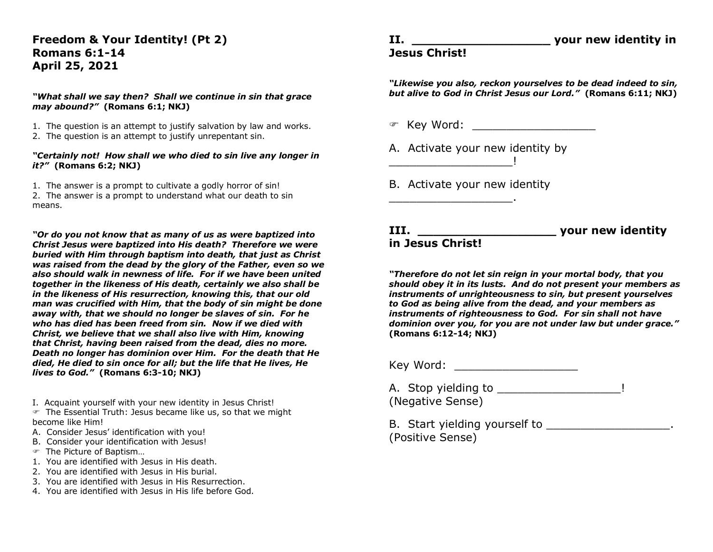## **Freedom & Your Identity! (Pt 2) Romans 6:1-14 April 25, 2021**

#### *"What shall we say then? Shall we continue in sin that grace may abound?"* **(Romans 6:1; NKJ)**

- 1. The question is an attempt to justify salvation by law and works.
- 2. The question is an attempt to justify unrepentant sin.

#### *"Certainly not! How shall we who died to sin live any longer in it?"* **(Romans 6:2; NKJ)**

1. The answer is a prompt to cultivate a godly horror of sin! 2. The answer is a prompt to understand what our death to sin means.

*"Or do you not know that as many of us as were baptized into Christ Jesus were baptized into His death? Therefore we were buried with Him through baptism into death, that just as Christ was raised from the dead by the glory of the Father, even so we also should walk in newness of life. For if we have been united together in the likeness of His death, certainly we also shall be in the likeness of His resurrection, knowing this, that our old man was crucified with Him, that the body of sin might be done away with, that we should no longer be slaves of sin. For he who has died has been freed from sin. Now if we died with Christ, we believe that we shall also live with Him, knowing that Christ, having been raised from the dead, dies no more. Death no longer has dominion over Him. For the death that He died, He died to sin once for all; but the life that He lives, He lives to God."* **(Romans 6:3-10; NKJ)**

I. Acquaint yourself with your new identity in Jesus Christ!

- The Essential Truth: Jesus became like us, so that we might become like Him!
- A. Consider Jesus' identification with you!
- B. Consider your identification with Jesus!
- The Picture of Baptism…
- 1. You are identified with Jesus in His death.
- 2. You are identified with Jesus in His burial.
- 3. You are identified with Jesus in His Resurrection.
- 4. You are identified with Jesus in His life before God.

# **Jesus Christ!**

*"Likewise you also, reckon yourselves to be dead indeed to sin, but alive to God in Christ Jesus our Lord."* **(Romans 6:11; NKJ)**

Key Word: \_\_\_\_\_\_\_\_\_\_\_\_\_\_\_\_\_\_

A. Activate your new identity by

B. Activate your new identity

 $\frac{1}{2}$  ,  $\frac{1}{2}$  ,  $\frac{1}{2}$  ,  $\frac{1}{2}$  ,  $\frac{1}{2}$ 

\_\_\_\_\_\_\_\_\_\_\_\_\_\_\_\_\_\_.

**III. \_\_\_\_\_\_\_\_\_\_\_\_\_\_\_\_\_\_ your new identity in Jesus Christ!**

*"Therefore do not let sin reign in your mortal body, that you should obey it in its lusts. And do not present your members as instruments of unrighteousness to sin, but present yourselves to God as being alive from the dead, and your members as instruments of righteousness to God. For sin shall not have dominion over you, for you are not under law but under grace."*  **(Romans 6:12-14; NKJ)**

Key Word:

A. Stop yielding to \_\_\_\_\_\_\_\_\_\_\_\_\_\_\_\_\_\_\_\_\_\_! (Negative Sense)

B. Start yielding yourself to \_\_\_\_\_\_\_\_\_\_\_\_\_\_\_\_\_\_. (Positive Sense)

### **II. II. VOUT NEW identity in**